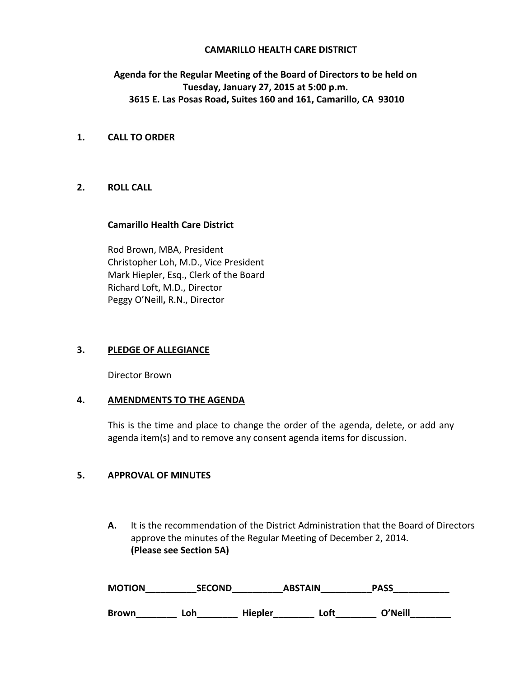### **CAMARILLO HEALTH CARE DISTRICT**

# **Agenda for the Regular Meeting of the Board of Directors to be held on Tuesday, January 27, 2015 at 5:00 p.m. 3615 E. Las Posas Road, Suites 160 and 161, Camarillo, CA 93010**

# **1. CALL TO ORDER**

## **2. ROLL CALL**

#### **Camarillo Health Care District**

Rod Brown, MBA, President Christopher Loh, M.D., Vice President Mark Hiepler, Esq., Clerk of the Board Richard Loft, M.D., Director Peggy O'Neill**,** R.N., Director

## **3. PLEDGE OF ALLEGIANCE**

Director Brown

## **4. AMENDMENTS TO THE AGENDA**

This is the time and place to change the order of the agenda, delete, or add any agenda item(s) and to remove any consent agenda items for discussion.

### **5. APPROVAL OF MINUTES**

**A.** It is the recommendation of the District Administration that the Board of Directors approve the minutes of the Regular Meeting of December 2, 2014. **(Please see Section 5A)** 

| <b>MOTION</b> | <b>SECOND</b> |                | <b>ABSTAIN</b> | <b>PASS</b> |  |
|---------------|---------------|----------------|----------------|-------------|--|
| Brown         | Loh           | <b>Hiepler</b> | Loft           | O'Neill     |  |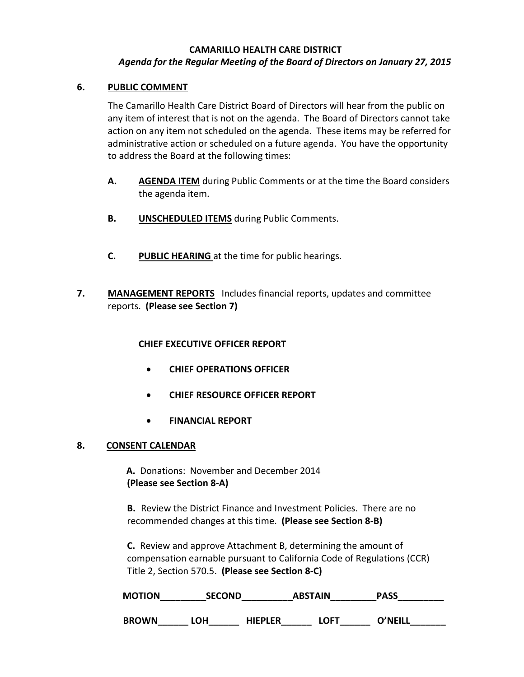# **CAMARILLO HEALTH CARE DISTRICT** *Agenda for the Regular Meeting of the Board of Directors on January 27, 2015*

# **6. PUBLIC COMMENT**

The Camarillo Health Care District Board of Directors will hear from the public on any item of interest that is not on the agenda. The Board of Directors cannot take action on any item not scheduled on the agenda. These items may be referred for administrative action or scheduled on a future agenda. You have the opportunity to address the Board at the following times:

- **A. AGENDA ITEM** during Public Comments or at the time the Board considers the agenda item.
- **B. UNSCHEDULED ITEMS** during Public Comments.
- **C. PUBLIC HEARING** at the time for public hearings.
- **7. MANAGEMENT REPORTS** Includes financial reports, updates and committee reports. **(Please see Section 7)**

# **CHIEF EXECUTIVE OFFICER REPORT**

- **CHIEF OPERATIONS OFFICER**
- **CHIEF RESOURCE OFFICER REPORT**
- **FINANCIAL REPORT**

## **8. CONSENT CALENDAR**

 **A.** Donations: November and December 2014  **(Please see Section 8-A)** 

**B.** Review the District Finance and Investment Policies. There are no recommended changes at this time. **(Please see Section 8-B)** 

 **C.** Review and approve Attachment B, determining the amount of compensation earnable pursuant to California Code of Regulations (CCR) Title 2, Section 570.5. **(Please see Section 8-C)**

| <b>MOTION</b> | <b>SECOND</b> |                | <b>ABSTAIN</b> | <b>PASS</b> |  |
|---------------|---------------|----------------|----------------|-------------|--|
| <b>BROWN</b>  | <b>OH</b>     | <b>HIEPLER</b> | LOFT           | OʻNFILI     |  |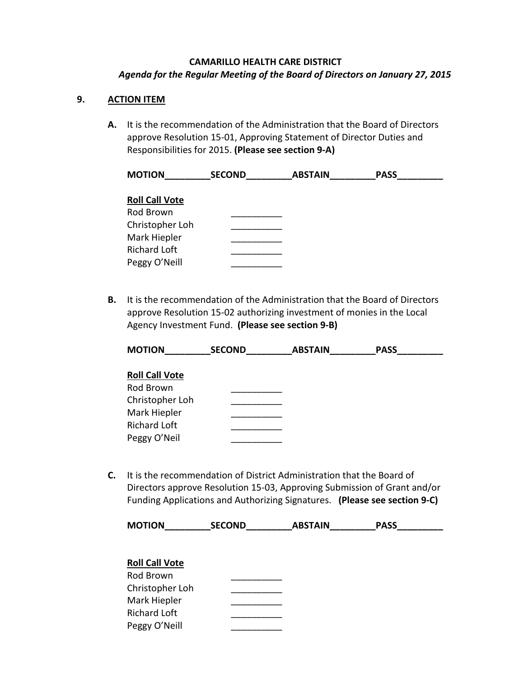# **CAMARILLO HEALTH CARE DISTRICT** *Agenda for the Regular Meeting of the Board of Directors on January 27, 2015*

# **9. ACTION ITEM**

**A.** It is the recommendation of the Administration that the Board of Directors approve Resolution 15-01, Approving Statement of Director Duties and Responsibilities for 2015. **(Please see section 9-A)**

| <b>MOTION</b>         | <b>SECOND</b> | <b>ABSTAIN</b> | <b>PASS</b> |
|-----------------------|---------------|----------------|-------------|
|                       |               |                |             |
| <b>Roll Call Vote</b> |               |                |             |
| Rod Brown             |               |                |             |
| Christopher Loh       |               |                |             |
| Mark Hiepler          |               |                |             |
| <b>Richard Loft</b>   |               |                |             |
| Peggy O'Neill         |               |                |             |

**B.** It is the recommendation of the Administration that the Board of Directors approve Resolution 15-02 authorizing investment of monies in the Local Agency Investment Fund. **(Please see section 9-B)**

| <b>MOTION</b>                                                          | <b>SECOND</b> | <b>ABSTAIN</b> | <b>PASS</b> |
|------------------------------------------------------------------------|---------------|----------------|-------------|
| <b>Roll Call Vote</b><br>Rod Brown                                     |               |                |             |
| Christopher Loh<br>Mark Hiepler<br><b>Richard Loft</b><br>Peggy O'Neil |               |                |             |

**C.** It is the recommendation of District Administration that the Board of Directors approve Resolution 15-03, Approving Submission of Grant and/or Funding Applications and Authorizing Signatures. **(Please see section 9-C)** 

| <b>MOTION</b> | <b>SECOND</b> | <b>ABSTAIN</b> | <b>PASS</b> |
|---------------|---------------|----------------|-------------|
|               |               |                |             |

# **Roll Call Vote** Rod Brown \_\_\_\_\_\_\_\_\_\_ Christopher Loh \_\_\_\_\_\_\_\_\_\_ Mark Hiepler Richard Loft \_\_\_\_\_\_\_\_\_\_ Peggy O'Neill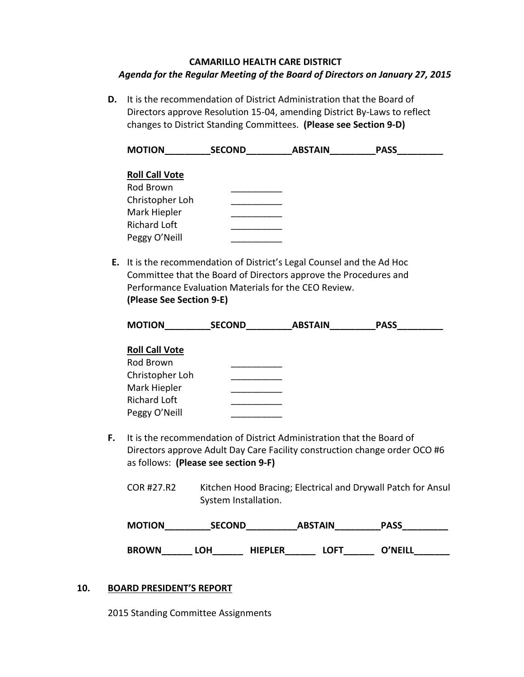# **CAMARILLO HEALTH CARE DISTRICT** *Agenda for the Regular Meeting of the Board of Directors on January 27, 2015*

**D.** It is the recommendation of District Administration that the Board of Directors approve Resolution 15-04, amending District By-Laws to reflect changes to District Standing Committees. **(Please see Section 9-D)**

**MOTION\_\_\_\_\_\_\_\_\_SECOND\_\_\_\_\_\_\_\_\_ABSTAIN\_\_\_\_\_\_\_\_\_PASS\_\_\_\_\_\_\_\_\_ Roll Call Vote** Rod Brown \_\_\_\_\_\_\_\_\_\_ Christopher Loh \_\_\_\_\_\_\_\_\_\_ Mark Hiepler Richard Loft \_\_\_\_\_\_\_\_\_\_ Peggy O'Neill \_\_\_\_\_\_\_\_\_\_

**E.** It is the recommendation of District's Legal Counsel and the Ad Hoc Committee that the Board of Directors approve the Procedures and Performance Evaluation Materials for the CEO Review.

**(Please See Section 9-E)**

| <b>MOTION</b>         | <b>SECOND</b> | <b>ABSTAIN</b> | <b>PASS</b> |  |
|-----------------------|---------------|----------------|-------------|--|
| <b>Roll Call Vote</b> |               |                |             |  |
| Rod Brown             |               |                |             |  |
| Christopher Loh       |               |                |             |  |
| Mark Hiepler          |               |                |             |  |

- **F.** It is the recommendation of District Administration that the Board of Directors approve Adult Day Care Facility construction change order OCO #6 as follows: **(Please see section 9-F)**
	- COR #27.R2 Kitchen Hood Bracing; Electrical and Drywall Patch for Ansul System Installation.

| <b>MOTION</b> | <b>SECOND</b> |                | <b>ABSTAIN</b> | <b>PASS</b> |
|---------------|---------------|----------------|----------------|-------------|
| <b>BROWN</b>  | LOH           | <b>HIEPLER</b> | LOFT           | O'NEILL     |

# **10. BOARD PRESIDENT'S REPORT**

Richard Loft \_\_\_\_\_\_\_\_\_\_ Peggy O'Neill \_\_\_\_\_\_\_\_\_\_

2015 Standing Committee Assignments